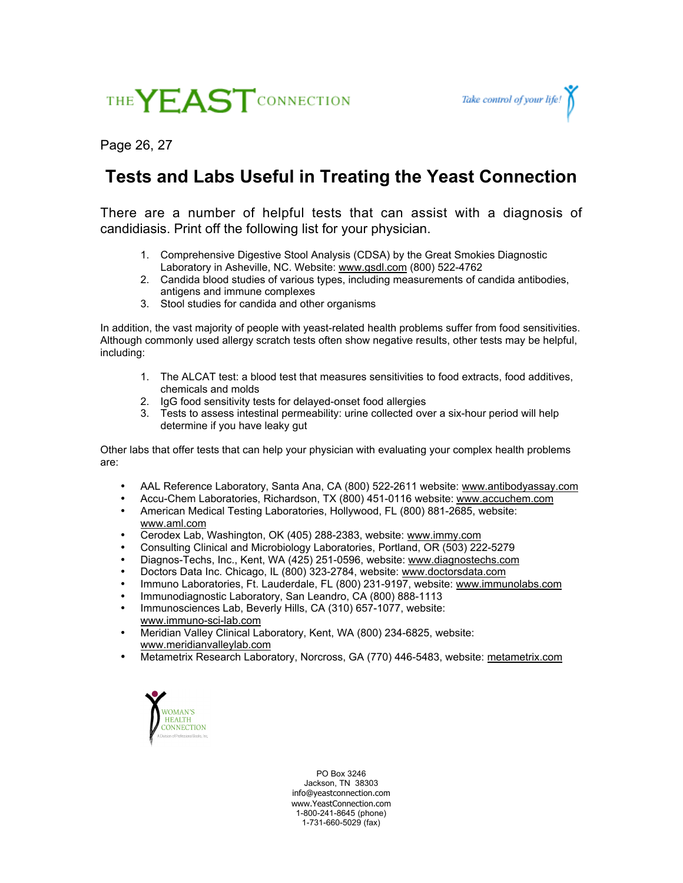



Page 26, 27

## **Tests and Labs Useful in Treating the Yeast Connection**

There are a number of helpful tests that can assist with a diagnosis of candidiasis. Print off the following list for your physician.

- 1. Comprehensive Digestive Stool Analysis (CDSA) by the Great Smokies Diagnostic Laboratory in Asheville, NC. Website: www.gsdl.com (800) 522-4762
- 2. Candida blood studies of various types, including measurements of candida antibodies, antigens and immune complexes
- 3. Stool studies for candida and other organisms

In addition, the vast majority of people with yeast-related health problems suffer from food sensitivities. Although commonly used allergy scratch tests often show negative results, other tests may be helpful, including:

- 1. The ALCAT test: a blood test that measures sensitivities to food extracts, food additives, chemicals and molds
- 2. IgG food sensitivity tests for delayed-onset food allergies
- 3. Tests to assess intestinal permeability: urine collected over a six-hour period will help determine if you have leaky gut

Other labs that offer tests that can help your physician with evaluating your complex health problems are:

AAL Reference Laboratory, Santa Ana, CA (800) 522-2611 website: www.antibodyassay.com Accu-Chem Laboratories, Richardson, TX (800) 451-0116 website: www.accuchem.com American Medical Testing Laboratories, Hollywood, FL (800) 881-2685, website: www.aml.com Cerodex Lab, Washington, OK (405) 288-2383, website: www.immy.com Consulting Clinical and Microbiology Laboratories, Portland, OR (503) 222-5279 Diagnos-Techs, Inc., Kent, WA (425) 251-0596, website: www.diagnostechs.com Doctors Data Inc. Chicago, IL (800) 323-2784, website: www.doctorsdata.com Immuno Laboratories, Ft. Lauderdale, FL (800) 231-9197, website: www.immunolabs.com Immunodiagnostic Laboratory, San Leandro, CA (800) 888-1113 Immunosciences Lab, Beverly Hills, CA (310) 657-1077, website: www.immuno-sci-lab.com Meridian Valley Clinical Laboratory, Kent, WA (800) 234-6825, website: www.meridianvalleylab.com

Metametrix Research Laboratory, Norcross, GA (770) 446-5483, website: metametrix.com



PO Box 3246 Jackson, TN 38303 info@yeastconnection.com www.YeastConnection.com 1-800-241-8645 (phone) 1-731-660-5029 (fax)